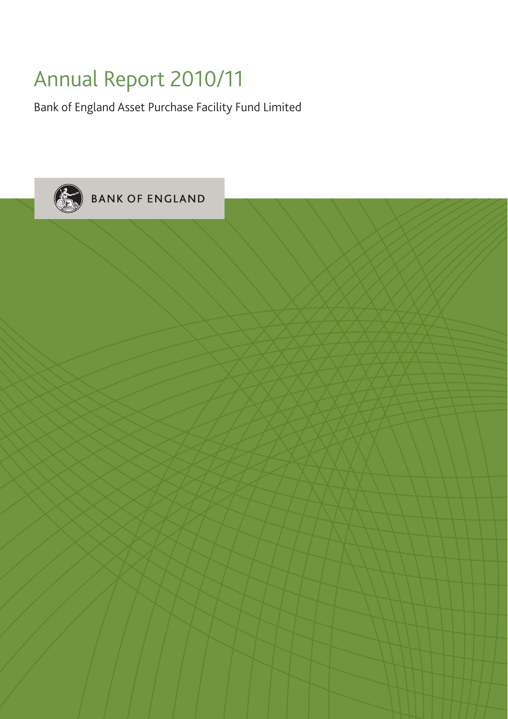# Annual Report 2010/11

Bank of England Asset Purchase Facility Fund Limited

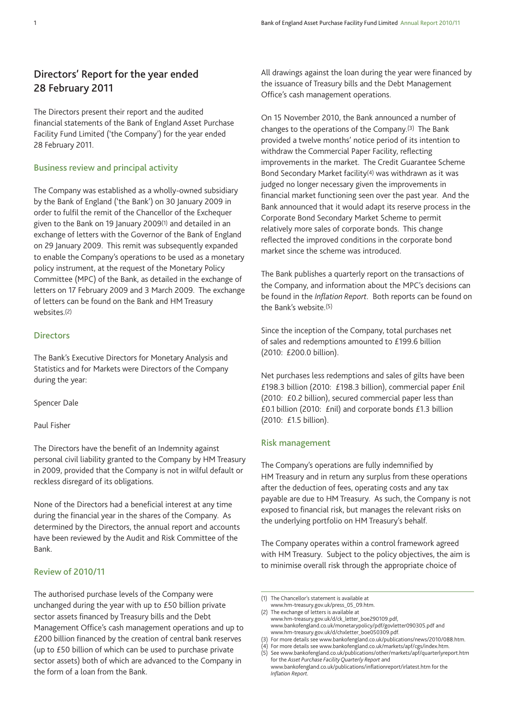# **Directors' Report for the year ended 28 February 2011**

The Directors present their report and the audited financial statements of the Bank of England Asset Purchase Facility Fund Limited ('the Company') for the year ended 28 February 2011.

#### **Business review and principal activity**

The Company was established as a wholly-owned subsidiary by the Bank of England ('the Bank') on 30 January 2009 in order to fulfil the remit of the Chancellor of the Exchequer given to the Bank on 19 January 2009(1) and detailed in an exchange of letters with the Governor of the Bank of England on 29 January 2009. This remit was subsequently expanded to enable the Company's operations to be used as a monetary policy instrument, at the request of the Monetary Policy Committee (MPC) of the Bank, as detailed in the exchange of letters on 17 February 2009 and 3 March 2009. The exchange of letters can be found on the Bank and HM Treasury websites.(2)

#### **Directors**

The Bank's Executive Directors for Monetary Analysis and Statistics and for Markets were Directors of the Company during the year:

Spencer Dale

#### Paul Fisher

The Directors have the benefit of an Indemnity against personal civil liability granted to the Company by HM Treasury in 2009, provided that the Company is not in wilful default or reckless disregard of its obligations.

None of the Directors had a beneficial interest at any time during the financial year in the shares of the Company. As determined by the Directors, the annual report and accounts have been reviewed by the Audit and Risk Committee of the Bank.

#### **Review of 2010/11**

The authorised purchase levels of the Company were unchanged during the year with up to £50 billion private sector assets financed by Treasury bills and the Debt Management Office's cash management operations and up to £200 billion financed by the creation of central bank reserves (up to £50 billion of which can be used to purchase private sector assets) both of which are advanced to the Company in the form of a loan from the Bank.

All drawings against the loan during the year were financed by the issuance of Treasury bills and the Debt Management Office's cash management operations.

On 15 November 2010, the Bank announced a number of changes to the operations of the Company.(3) The Bank provided a twelve months' notice period of its intention to withdraw the Commercial Paper Facility, reflecting improvements in the market. The Credit Guarantee Scheme Bond Secondary Market facility(4) was withdrawn as it was judged no longer necessary given the improvements in financial market functioning seen over the past year. And the Bank announced that it would adapt its reserve process in the Corporate Bond Secondary Market Scheme to permit relatively more sales of corporate bonds. This change reflected the improved conditions in the corporate bond market since the scheme was introduced.

The Bank publishes a quarterly report on the transactions of the Company, and information about the MPC's decisions can be found in the *Inflation Report*. Both reports can be found on the Bank's website.(5)

Since the inception of the Company, total purchases net of sales and redemptions amounted to £199.6 billion (2010: £200.0 billion).

Net purchases less redemptions and sales of gilts have been £198.3 billion (2010: £198.3 billion), commercial paper £nil (2010: £0.2 billion), secured commercial paper less than £0.1 billion (2010: £nil) and corporate bonds £1.3 billion (2010: £1.5 billion).

#### **Risk management**

The Company's operations are fully indemnified by HM Treasury and in return any surplus from these operations after the deduction of fees, operating costs and any tax payable are due to HM Treasury. As such, the Company is not exposed to financial risk, but manages the relevant risks on the underlying portfolio on HM Treasury's behalf.

The Company operates within a control framework agreed with HM Treasury. Subject to the policy objectives, the aim is to minimise overall risk through the appropriate choice of

<sup>(1)</sup> The Chancellor's statement is available at

www.hm-treasury.gov.uk/press\_05\_09.htm.

<sup>(2)</sup> The exchange of letters is available at www.hm-treasury.gov.uk/d/ck\_letter\_boe290109.pdf, www.bankofengland.co.uk/monetarypolicy/pdf/govletter090305.pdf and www.hm-treasury.gov.uk/d/chxletter\_boe050309.pdf.

<sup>(3)</sup> For more details see www.bankofengland.co.uk/publications/news/2010/088.htm.

For more details see www.bankofengland.co.uk/markets/apf/cgs/index.htm

See www.bankofengland.co.uk/publications/other/markets/apf/quarterlyreport.htm for the *Asset Purchase Facility Quarterly Report* and www.bankofengland.co.uk/publications/inflationreport/irlatest.htm for the *Inflation Report.*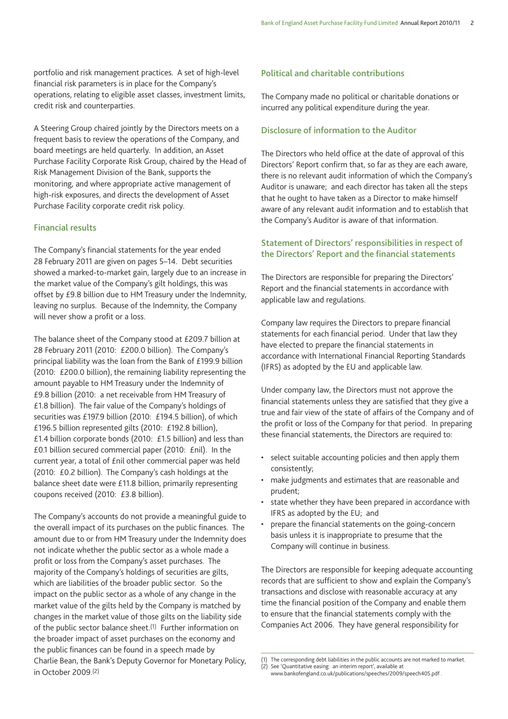portfolio and risk management practices. A set of high-level financial risk parameters is in place for the Company's operations, relating to eligible asset classes, investment limits, credit risk and counterparties.

A Steering Group chaired jointly by the Directors meets on a frequent basis to review the operations of the Company, and board meetings are held quarterly. In addition, an Asset Purchase Facility Corporate Risk Group, chaired by the Head of Risk Management Division of the Bank, supports the monitoring, and where appropriate active management of high-risk exposures, and directs the development of Asset Purchase Facility corporate credit risk policy.

#### **Financial results**

The Company's financial statements for the year ended 28 February 2011 are given on pages 5–14. Debt securities showed a marked-to-market gain, largely due to an increase in the market value of the Company's gilt holdings, this was offset by £9.8 billion due to HM Treasury under the Indemnity, leaving no surplus. Because of the Indemnity, the Company will never show a profit or a loss.

The balance sheet of the Company stood at £209.7 billion at 28 February 2011 (2010: £200.0 billion). The Company's principal liability was the loan from the Bank of £199.9 billion (2010: £200.0 billion), the remaining liability representing the amount payable to HM Treasury under the Indemnity of £9.8 billion (2010: a net receivable from HM Treasury of £1.8 billion). The fair value of the Company's holdings of securities was £197.9 billion (2010: £194.5 billion), of which £196.5 billion represented gilts (2010: £192.8 billion), £1.4 billion corporate bonds (2010: £1.5 billion) and less than £0.1 billion secured commercial paper (2010: £nil). In the current year, a total of £nil other commercial paper was held (2010: £0.2 billion). The Company's cash holdings at the balance sheet date were £11.8 billion, primarily representing coupons received (2010: £3.8 billion).

The Company's accounts do not provide a meaningful guide to the overall impact of its purchases on the public finances. The amount due to or from HM Treasury under the Indemnity does not indicate whether the public sector as a whole made a profit or loss from the Company's asset purchases. The majority of the Company's holdings of securities are gilts, which are liabilities of the broader public sector. So the impact on the public sector as a whole of any change in the market value of the gilts held by the Company is matched by changes in the market value of those gilts on the liability side of the public sector balance sheet.(1) Further information on the broader impact of asset purchases on the economy and the public finances can be found in a speech made by Charlie Bean, the Bank's Deputy Governor for Monetary Policy, in October 2009.(2)

#### **Political and charitable contributions**

The Company made no political or charitable donations or incurred any political expenditure during the year.

#### **Disclosure of information to the Auditor**

The Directors who held office at the date of approval of this Directors' Report confirm that, so far as they are each aware, there is no relevant audit information of which the Company's Auditor is unaware; and each director has taken all the steps that he ought to have taken as a Director to make himself aware of any relevant audit information and to establish that the Company's Auditor is aware of that information.

### **Statement of Directors' responsibilities in respect of the Directors' Report and the financial statements**

The Directors are responsible for preparing the Directors' Report and the financial statements in accordance with applicable law and regulations.

Company law requires the Directors to prepare financial statements for each financial period. Under that law they have elected to prepare the financial statements in accordance with International Financial Reporting Standards (IFRS) as adopted by the EU and applicable law.

Under company law, the Directors must not approve the financial statements unless they are satisfied that they give a true and fair view of the state of affairs of the Company and of the profit or loss of the Company for that period. In preparing these financial statements, the Directors are required to:

- select suitable accounting policies and then apply them consistently;
- make judgments and estimates that are reasonable and prudent;
- state whether they have been prepared in accordance with IFRS as adopted by the EU; and
- prepare the financial statements on the going-concern basis unless it is inappropriate to presume that the Company will continue in business.

The Directors are responsible for keeping adequate accounting records that are sufficient to show and explain the Company's transactions and disclose with reasonable accuracy at any time the financial position of the Company and enable them to ensure that the financial statements comply with the Companies Act 2006. They have general responsibility for

<sup>(1)</sup> The corresponding debt liabilities in the public accounts are not marked to market.

<sup>(2)</sup> See 'Quantitative easing: an interim report', available at

www.bankofengland.co.uk/publications/speeches/2009/speech405.pdf .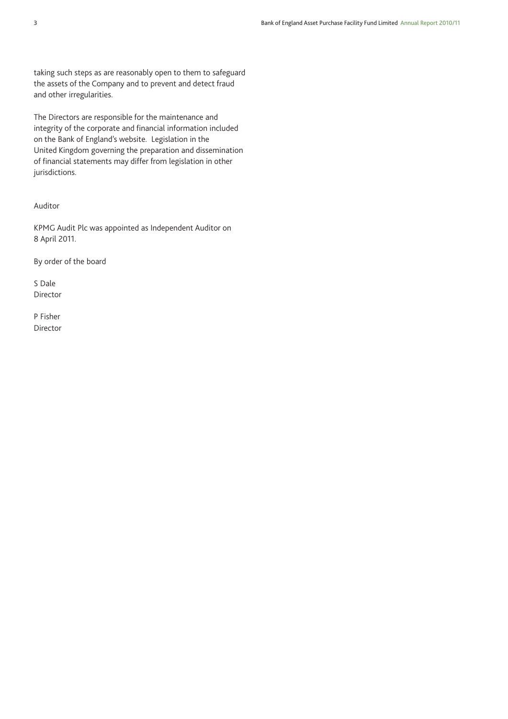taking such steps as are reasonably open to them to safeguard the assets of the Company and to prevent and detect fraud and other irregularities.

The Directors are responsible for the maintenance and integrity of the corporate and financial information included on the Bank of England's website. Legislation in the United Kingdom governing the preparation and dissemination of financial statements may differ from legislation in other jurisdictions.

#### Auditor

KPMG Audit Plc was appointed as Independent Auditor on 8 April 2011.

By order of the board

S Dale Director

P Fisher Director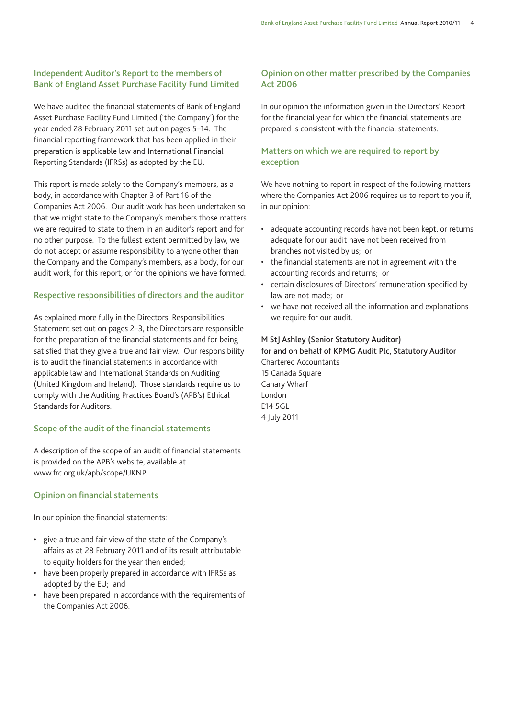### **Independent Auditor's Report to the members of Bank of England Asset Purchase Facility Fund Limited**

We have audited the financial statements of Bank of England Asset Purchase Facility Fund Limited ('the Company') for the year ended 28 February 2011 set out on pages 5–14. The financial reporting framework that has been applied in their preparation is applicable law and International Financial Reporting Standards (IFRSs) as adopted by the EU.

This report is made solely to the Company's members, as a body, in accordance with Chapter 3 of Part 16 of the Companies Act 2006. Our audit work has been undertaken so that we might state to the Company's members those matters we are required to state to them in an auditor's report and for no other purpose. To the fullest extent permitted by law, we do not accept or assume responsibility to anyone other than the Company and the Company's members, as a body, for our audit work, for this report, or for the opinions we have formed.

#### **Respective responsibilities of directors and the auditor**

As explained more fully in the Directors' Responsibilities Statement set out on pages 2–3, the Directors are responsible for the preparation of the financial statements and for being satisfied that they give a true and fair view. Our responsibility is to audit the financial statements in accordance with applicable law and International Standards on Auditing (United Kingdom and Ireland). Those standards require us to comply with the Auditing Practices Board's (APB's) Ethical Standards for Auditors.

#### **Scope of the audit of the financial statements**

A description of the scope of an audit of financial statements is provided on the APB's website, available at www.frc.org.uk/apb/scope/UKNP.

#### **Opinion on financial statements**

In our opinion the financial statements:

- give a true and fair view of the state of the Company's affairs as at 28 February 2011 and of its result attributable to equity holders for the year then ended;
- have been properly prepared in accordance with IFRSs as adopted by the EU; and
- have been prepared in accordance with the requirements of the Companies Act 2006.

#### **Opinion on other matter prescribed by the Companies Act 2006**

In our opinion the information given in the Directors' Report for the financial year for which the financial statements are prepared is consistent with the financial statements.

### **Matters on which we are required to report by exception**

We have nothing to report in respect of the following matters where the Companies Act 2006 requires us to report to you if, in our opinion:

- adequate accounting records have not been kept, or returns adequate for our audit have not been received from branches not visited by us; or
- the financial statements are not in agreement with the accounting records and returns; or
- certain disclosures of Directors' remuneration specified by law are not made; or
- we have not received all the information and explanations we require for our audit.

#### **M StJ Ashley (Senior Statutory Auditor)**

**for and on behalf of KPMG Audit Plc, Statutory Auditor** Chartered Accountants 15 Canada Square Canary Wharf London E14 5GL 4 July 2011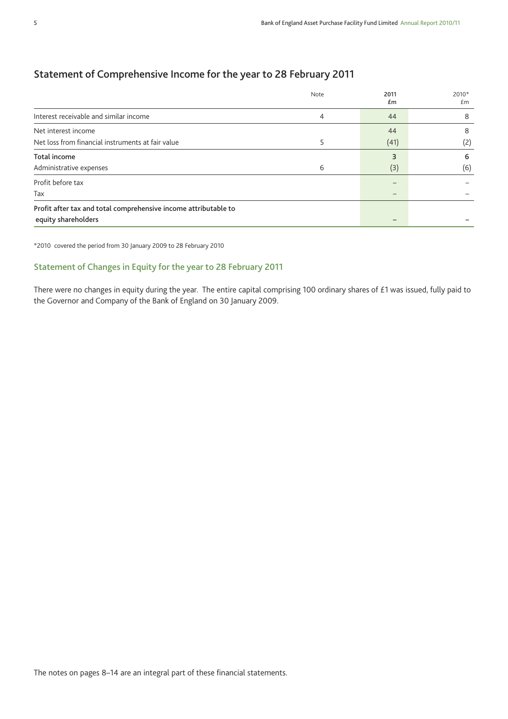# **Statement of Comprehensive Income for the year to 28 February 2011**

|                                                                                        | Note | 2011<br>Em                                    | 2010*<br>£m |
|----------------------------------------------------------------------------------------|------|-----------------------------------------------|-------------|
| Interest receivable and similar income                                                 | 4    | 44                                            | 8           |
| Net interest income<br>Net loss from financial instruments at fair value               |      | 44<br>(41)                                    | 8<br>(2)    |
| <b>Total income</b><br>Administrative expenses                                         | 6    | 3<br>(3)                                      | 6<br>(6)    |
| Profit before tax<br>Tax                                                               |      | $\qquad \qquad -$<br>$\overline{\phantom{0}}$ |             |
| Profit after tax and total comprehensive income attributable to<br>equity shareholders |      |                                               |             |

\*2010 covered the period from 30 January 2009 to 28 February 2010

# **Statement of Changes in Equity for the year to 28 February 2011**

There were no changes in equity during the year. The entire capital comprising 100 ordinary shares of £1 was issued, fully paid to the Governor and Company of the Bank of England on 30 January 2009.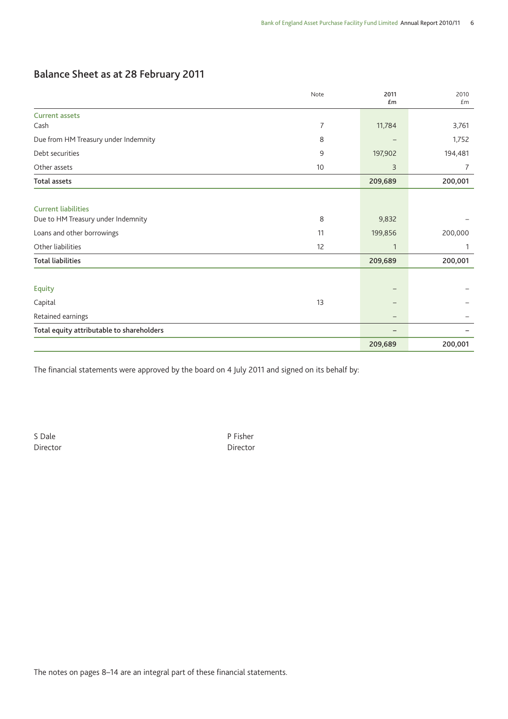# **Balance Sheet as at 28 February 2011**

|                                           | Note | 2011<br>£m | 2010<br>£m |
|-------------------------------------------|------|------------|------------|
| <b>Current assets</b>                     |      |            |            |
| Cash                                      | 7    | 11,784     | 3,761      |
| Due from HM Treasury under Indemnity      | 8    |            | 1,752      |
| Debt securities                           | 9    | 197,902    | 194,481    |
| Other assets                              | 10   | 3          | 7          |
| <b>Total assets</b>                       |      | 209,689    | 200,001    |
|                                           |      |            |            |
| <b>Current liabilities</b>                |      |            |            |
| Due to HM Treasury under Indemnity        | 8    | 9,832      |            |
| Loans and other borrowings                | 11   | 199,856    | 200,000    |
| Other liabilities                         | 12   | 1          | 1          |
| <b>Total liabilities</b>                  |      | 209,689    | 200,001    |
|                                           |      |            |            |
| <b>Equity</b>                             |      | -          |            |
| Capital                                   | 13   | -          |            |
| Retained earnings                         |      | -          |            |
| Total equity attributable to shareholders |      | -          |            |
|                                           |      | 209,689    | 200,001    |

The financial statements were approved by the board on 4 July 2011 and signed on its behalf by:

S Dale **P** Fisher

Director Director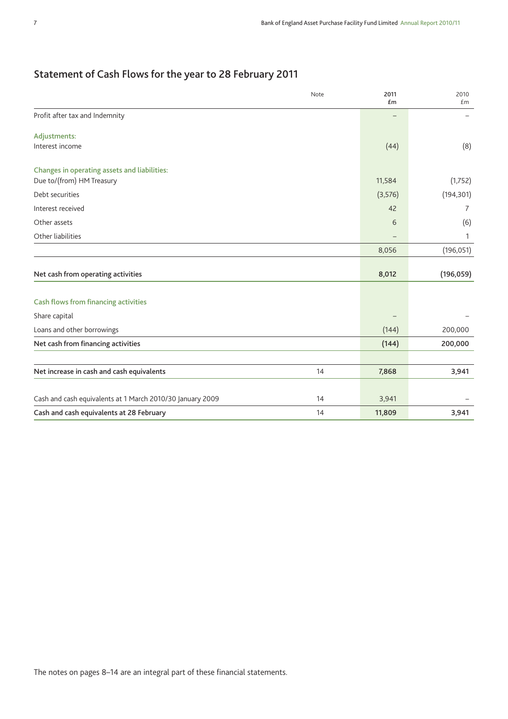# **Statement of Cash Flows for the year to 28 February 2011**

|                                                           | Note | 2011<br>£m | 2010<br>£m |
|-----------------------------------------------------------|------|------------|------------|
| Profit after tax and Indemnity                            |      |            |            |
| Adjustments:                                              |      |            |            |
| Interest income                                           |      | (44)       | (8)        |
| Changes in operating assets and liabilities:              |      |            |            |
| Due to/(from) HM Treasury                                 |      | 11,584     | (1,752)    |
| Debt securities                                           |      | (3,576)    | (194, 301) |
| Interest received                                         |      | 42         | 7          |
| Other assets                                              |      | 6          | (6)        |
| Other liabilities                                         |      |            | 1          |
|                                                           |      | 8,056      | (196, 051) |
| Net cash from operating activities                        |      | 8,012      | (196, 059) |
| <b>Cash flows from financing activities</b>               |      |            |            |
| Share capital                                             |      |            |            |
| Loans and other borrowings                                |      | (144)      | 200,000    |
| Net cash from financing activities                        |      | (144)      | 200,000    |
|                                                           |      |            |            |
| Net increase in cash and cash equivalents                 | 14   | 7,868      | 3,941      |
| Cash and cash equivalents at 1 March 2010/30 January 2009 | 14   | 3,941      |            |
| Cash and cash equivalents at 28 February                  | 14   | 11,809     | 3,941      |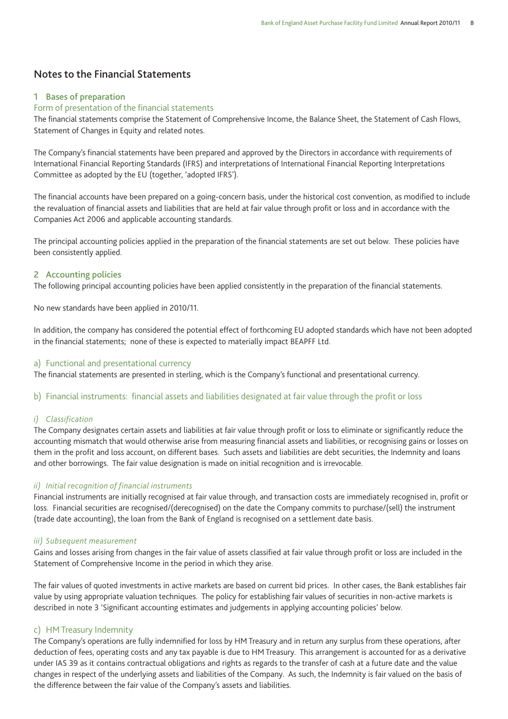## **Notes to the Financial Statements**

#### **1 Bases of preparation**

#### Form of presentation of the financial statements

The financial statements comprise the Statement of Comprehensive Income, the Balance Sheet, the Statement of Cash Flows, Statement of Changes in Equity and related notes.

The Company's financial statements have been prepared and approved by the Directors in accordance with requirements of International Financial Reporting Standards (IFRS) and interpretations of International Financial Reporting Interpretations Committee as adopted by the EU (together, 'adopted IFRS').

The financial accounts have been prepared on a going-concern basis, under the historical cost convention, as modified to include the revaluation of financial assets and liabilities that are held at fair value through profit or loss and in accordance with the Companies Act 2006 and applicable accounting standards.

The principal accounting policies applied in the preparation of the financial statements are set out below. These policies have been consistently applied.

#### **2 Accounting policies**

The following principal accounting policies have been applied consistently in the preparation of the financial statements.

No new standards have been applied in 2010/11.

In addition, the company has considered the potential effect of forthcoming EU adopted standards which have not been adopted in the financial statements; none of these is expected to materially impact BEAPFF Ltd.

#### a) Functional and presentational currency

The financial statements are presented in sterling, which is the Company's functional and presentational currency.

#### b) Financial instruments: financial assets and liabilities designated at fair value through the profit or loss

*i) Classification* The Company designates certain assets and liabilities at fair value through profit or loss to eliminate or significantly reduce the accounting mismatch that would otherwise arise from measuring financial assets and liabilities, or recognising gains or losses on them in the profit and loss account, on different bases. Such assets and liabilities are debt securities, the Indemnity and loans and other borrowings. The fair value designation is made on initial recognition and is irrevocable.

*ii) Initial recognition of financial instruments* Financial instruments are initially recognised at fair value through, and transaction costs are immediately recognised in, profit or loss. Financial securities are recognised/(derecognised) on the date the Company commits to purchase/(sell) the instrument (trade date accounting), the loan from the Bank of England is recognised on a settlement date basis.

if it is a measurement measurement of the subsequenties.<br>Gains and losses arising from changes in the fair value of assets classified at fair value through profit or loss are included in the Statement of Comprehensive Income in the period in which they arise.

The fair values of quoted investments in active markets are based on current bid prices. In other cases, the Bank establishes fair value by using appropriate valuation techniques. The policy for establishing fair values of securities in non-active markets is described in note 3 'Significant accounting estimates and judgements in applying accounting policies' below.

#### c) HM Treasury Indemnity

The Company's operations are fully indemnified for loss by HM Treasury and in return any surplus from these operations, after deduction of fees, operating costs and any tax payable is due to HM Treasury. This arrangement is accounted for as a derivative under IAS 39 as it contains contractual obligations and rights as regards to the transfer of cash at a future date and the value changes in respect of the underlying assets and liabilities of the Company. As such, the Indemnity is fair valued on the basis of the difference between the fair value of the Company's assets and liabilities.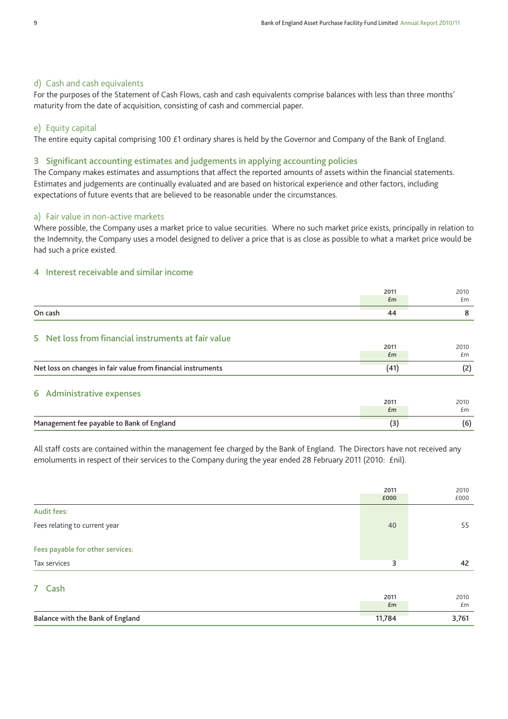#### d) Cash and cash equivalents

For the purposes of the Statement of Cash Flows, cash and cash equivalents comprise balances with less than three months' maturity from the date of acquisition, consisting of cash and commercial paper.

#### e) Equity capital

The entire equity capital comprising 100 £1 ordinary shares is held by the Governor and Company of the Bank of England.

#### **3 Significant accounting estimates and judgements in applying accounting policies**

The Company makes estimates and assumptions that affect the reported amounts of assets within the financial statements. Estimates and judgements are continually evaluated and are based on historical experience and other factors, including expectations of future events that are believed to be reasonable under the circumstances.

#### a) Fair value in non-active markets

Where possible, the Company uses a market price to value securities. Where no such market price exists, principally in relation to the Indemnity, the Company uses a model designed to deliver a price that is as close as possible to what a market price would be had such a price existed.

#### **4 Interest receivable and similar income**

|                                                              | 2011<br>Em | 2010<br>£m |
|--------------------------------------------------------------|------------|------------|
| On cash                                                      | 44         | 8          |
| 5 Net loss from financial instruments at fair value          |            |            |
|                                                              | 2011       | 2010       |
|                                                              | Em         | £m         |
| Net loss on changes in fair value from financial instruments | (41)       | (2)        |
| 6 Administrative expenses                                    |            |            |
|                                                              | 2011       | 2010       |
|                                                              | Em         | £m         |
| Management fee payable to Bank of England                    | (3)        | (6)        |

All staff costs are contained within the management fee charged by the Bank of England. The Directors have not received any emoluments in respect of their services to the Company during the year ended 28 February 2011 (2010: £nil).

|                                  | 2011<br>£000 | 2010<br>£000 |
|----------------------------------|--------------|--------------|
| <b>Audit fees:</b>               |              |              |
| Fees relating to current year    | 40           | 55           |
| Fees payable for other services: |              |              |
| Tax services                     | 3            | 42           |
| 7 Cash                           |              |              |
|                                  | 2011         | 2010         |
|                                  | £m           | £m           |
| Balance with the Bank of England | 11,784       | 3,761        |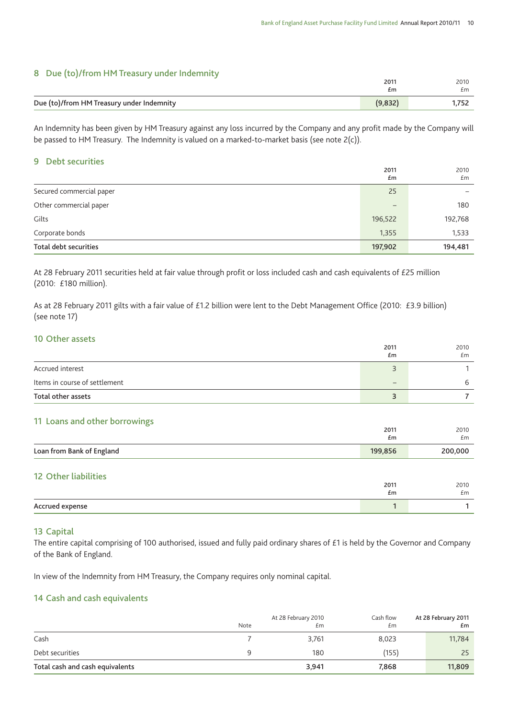| 8 Due (to)/from HM Treasury under Indemnity |         |       |
|---------------------------------------------|---------|-------|
|                                             | 2011    | 2010  |
|                                             | £m      | £m    |
| Due (to)/from HM Treasury under Indemnity   | (9.832) | ' 752 |

An Indemnity has been given by HM Treasury against any loss incurred by the Company and any profit made by the Company will be passed to HM Treasury. The Indemnity is valued on a marked-to-market basis (see note  $2(c)$ ).

#### **9 Debt securities**

|                          | 2011<br>£m               | 2010<br>Em |
|--------------------------|--------------------------|------------|
| Secured commercial paper | 25                       |            |
| Other commercial paper   | $\overline{\phantom{m}}$ | 180        |
| Gilts                    | 196,522                  | 192,768    |
| Corporate bonds          | 1,355                    | 1,533      |
| Total debt securities    | 197,902                  | 194,481    |

At 28 February 2011 securities held at fair value through profit or loss included cash and cash equivalents of £25 million (2010: £180 million).

As at 28 February 2011 gilts with a fair value of £1.2 billion were lent to the Debt Management Office (2010: £3.9 billion) (see note 17)

#### **10 Other assets**

|                               | 2011<br>£m                   | 2010<br>Em |
|-------------------------------|------------------------------|------------|
| Accrued interest              |                              |            |
| Items in course of settlement | $\qquad \qquad \blacksquare$ | 6          |
| Total other assets            |                              |            |

#### **11 Loans and other borrowings**

|                           | 2011<br>£m | 2010<br>Em |
|---------------------------|------------|------------|
| Loan from Bank of England | 199,856    | 200,000    |
| 12 Other liabilities      | 2011       | 2010       |

| Accrued expense |      |      |
|-----------------|------|------|
|                 | £m   | £m   |
|                 | 2011 | 2010 |

#### **13 Capital**

The entire capital comprising of 100 authorised, issued and fully paid ordinary shares of £1 is held by the Governor and Company of the Bank of England.

In view of the Indemnity from HM Treasury, the Company requires only nominal capital.

#### **14 Cash and cash equivalents**

|                                 | At 28 February 2010 |       | Cash flow | At 28 February 2011 |
|---------------------------------|---------------------|-------|-----------|---------------------|
|                                 | Note                | £m    | £m        | £m                  |
| Cash                            |                     | 3.761 | 8,023     | 11,784              |
| Debt securities                 |                     | 180   | (155)     | 25                  |
| Total cash and cash equivalents |                     | 3,941 | 7.868     | 11,809              |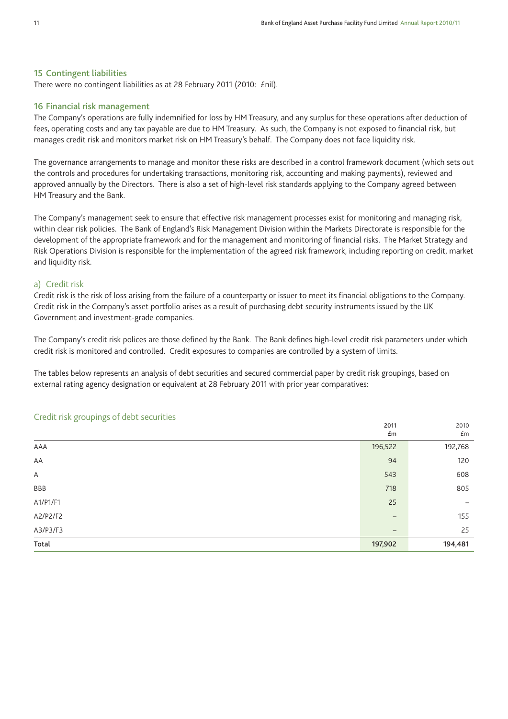#### **15 Contingent liabilities**

There were no contingent liabilities as at 28 February 2011 (2010: £nil).

#### **16 Financial risk management**

The Company's operations are fully indemnified for loss by HM Treasury, and any surplus for these operations after deduction of fees, operating costs and any tax payable are due to HM Treasury. As such, the Company is not exposed to financial risk, but manages credit risk and monitors market risk on HM Treasury's behalf. The Company does not face liquidity risk.

The governance arrangements to manage and monitor these risks are described in a control framework document (which sets out the controls and procedures for undertaking transactions, monitoring risk, accounting and making payments), reviewed and approved annually by the Directors. There is also a set of high-level risk standards applying to the Company agreed between HM Treasury and the Bank.

The Company's management seek to ensure that effective risk management processes exist for monitoring and managing risk, within clear risk policies. The Bank of England's Risk Management Division within the Markets Directorate is responsible for the development of the appropriate framework and for the management and monitoring of financial risks. The Market Strategy and Risk Operations Division is responsible for the implementation of the agreed risk framework, including reporting on credit, market and liquidity risk.

#### a) Credit risk

Credit risk is the risk of loss arising from the failure of a counterparty or issuer to meet its financial obligations to the Company. Credit risk in the Company's asset portfolio arises as a result of purchasing debt security instruments issued by the UK Government and investment-grade companies.

The Company's credit risk polices are those defined by the Bank. The Bank defines high-level credit risk parameters under which credit risk is monitored and controlled. Credit exposures to companies are controlled by a system of limits.

The tables below represents an analysis of debt securities and secured commercial paper by credit risk groupings, based on external rating agency designation or equivalent at 28 February 2011 with prior year comparatives:

| credit risk groupings or debt securities | 2011<br>£m        | 2010<br>£m        |
|------------------------------------------|-------------------|-------------------|
| AAA                                      | 196,522           | 192,768           |
| AA                                       | 94                | 120               |
| $\mathsf A$                              | 543               | 608               |
| <b>BBB</b>                               | 718               | 805               |
| A1/P1/F1                                 | 25                | $\qquad \qquad -$ |
| A2/P2/F2                                 | $\qquad \qquad -$ | 155               |
| A3/P3/F3                                 | $\qquad \qquad -$ | 25                |
| Total                                    | 197,902           | 194,481           |

#### Credit risk groupings of debt securities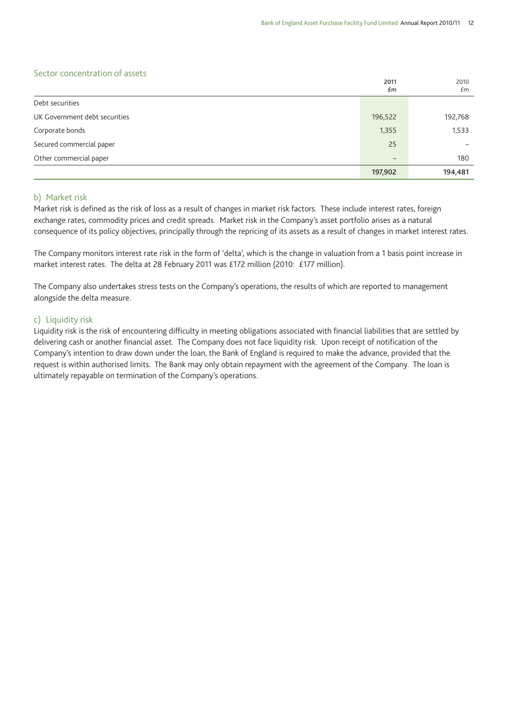### Sector concentration of assets

|                               | 2011<br>£m        | 2010<br>£m |
|-------------------------------|-------------------|------------|
| Debt securities               |                   |            |
| UK Government debt securities | 196,522           | 192,768    |
| Corporate bonds               | 1,355             | 1,533      |
| Secured commercial paper      | 25                |            |
| Other commercial paper        | $\qquad \qquad -$ | 180        |
|                               | 197,902           | 194,481    |

#### b) Market risk

Market risk is defined as the risk of loss as a result of changes in market risk factors. These include interest rates, foreign exchange rates, commodity prices and credit spreads. Market risk in the Company's asset portfolio arises as a natural consequence of its policy objectives, principally through the repricing of its assets as a result of changes in market interest rates.

The Company monitors interest rate risk in the form of 'delta', which is the change in valuation from a 1 basis point increase in market interest rates. The delta at 28 February 2011 was £172 million (2010: £177 million).

The Company also undertakes stress tests on the Company's operations, the results of which are reported to management alongside the delta measure.

#### c) Liquidity risk

Liquidity risk is the risk of encountering difficulty in meeting obligations associated with financial liabilities that are settled by delivering cash or another financial asset. The Company does not face liquidity risk. Upon receipt of notification of the Company's intention to draw down under the loan, the Bank of England is required to make the advance, provided that the request is within authorised limits. The Bank may only obtain repayment with the agreement of the Company. The loan is ultimately repayable on termination of the Company's operations.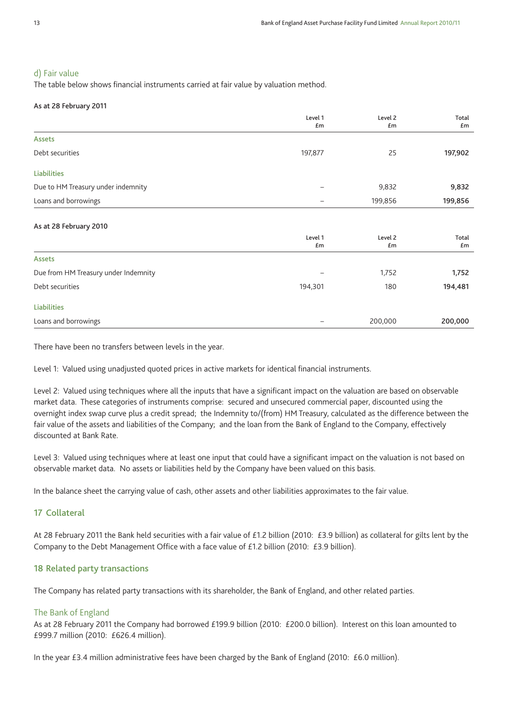#### d) Fair value

The table below shows financial instruments carried at fair value by valuation method.

#### **As at 28 February 2011**

|                                      | Level 1<br>£m | Level 2<br>£m | Total<br>£m |
|--------------------------------------|---------------|---------------|-------------|
| <b>Assets</b>                        |               |               |             |
| Debt securities                      | 197,877       | 25            | 197,902     |
| <b>Liabilities</b>                   |               |               |             |
| Due to HM Treasury under indemnity   | -             | 9,832         | 9,832       |
| Loans and borrowings                 | -             | 199,856       | 199,856     |
| As at 28 February 2010               |               |               |             |
|                                      | Level 1<br>£m | Level 2<br>£m | Total<br>£m |
| <b>Assets</b>                        |               |               |             |
| Due from HM Treasury under Indemnity |               | 1,752         | 1,752       |
| Debt securities                      | 194,301       | 180           | 194,481     |
| <b>Liabilities</b>                   |               |               |             |
| Loans and borrowings                 |               | 200,000       | 200,000     |

There have been no transfers between levels in the year.

Level 1: Valued using unadjusted quoted prices in active markets for identical financial instruments.

Level 2: Valued using techniques where all the inputs that have a significant impact on the valuation are based on observable market data. These categories of instruments comprise: secured and unsecured commercial paper, discounted using the overnight index swap curve plus a credit spread; the Indemnity to/(from) HM Treasury, calculated as the difference between the fair value of the assets and liabilities of the Company; and the loan from the Bank of England to the Company, effectively discounted at Bank Rate.

Level 3: Valued using techniques where at least one input that could have a significant impact on the valuation is not based on observable market data. No assets or liabilities held by the Company have been valued on this basis.

In the balance sheet the carrying value of cash, other assets and other liabilities approximates to the fair value.

#### **17 Collateral**

At 28 February 2011 the Bank held securities with a fair value of £1.2 billion (2010: £3.9 billion) as collateral for gilts lent by the Company to the Debt Management Office with a face value of £1.2 billion (2010: £3.9 billion).

#### **18 Related party transactions**

The Company has related party transactions with its shareholder, the Bank of England, and other related parties.

#### The Bank of England

As at 28 February 2011 the Company had borrowed £199.9 billion (2010: £200.0 billion). Interest on this loan amounted to £999.7 million (2010: £626.4 million).

In the year £3.4 million administrative fees have been charged by the Bank of England (2010: £6.0 million).